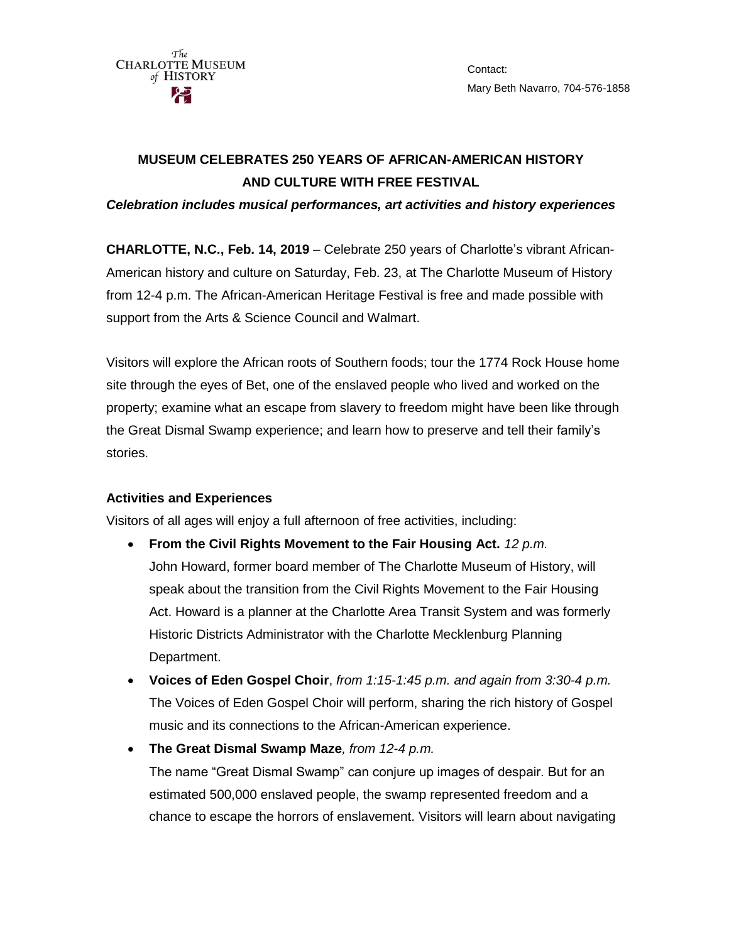

Contact: Mary Beth Navarro, 704-576-1858

# **MUSEUM CELEBRATES 250 YEARS OF AFRICAN-AMERICAN HISTORY AND CULTURE WITH FREE FESTIVAL**

*Celebration includes musical performances, art activities and history experiences* 

**CHARLOTTE, N.C., Feb. 14, 2019** – Celebrate 250 years of Charlotte's vibrant African-American history and culture on Saturday, Feb. 23, at The Charlotte Museum of History from 12-4 p.m. The African-American Heritage Festival is free and made possible with support from the Arts & Science Council and Walmart.

Visitors will explore the African roots of Southern foods; tour the 1774 Rock House home site through the eyes of Bet, one of the enslaved people who lived and worked on the property; examine what an escape from slavery to freedom might have been like through the Great Dismal Swamp experience; and learn how to preserve and tell their family's stories.

## **Activities and Experiences**

Visitors of all ages will enjoy a full afternoon of free activities, including:

- **From the Civil Rights Movement to the Fair Housing Act.** *12 p.m.* John Howard, former board member of The Charlotte Museum of History, will speak about the transition from the Civil Rights Movement to the Fair Housing Act. Howard is a planner at the Charlotte Area Transit System and was formerly Historic Districts Administrator with the Charlotte Mecklenburg Planning Department.
- **Voices of Eden Gospel Choir**, *from 1:15-1:45 p.m. and again from 3:30-4 p.m.* The Voices of Eden Gospel Choir will perform, sharing the rich history of Gospel music and its connections to the African-American experience.
- **The Great Dismal Swamp Maze***, from 12-4 p.m.* The name "Great Dismal Swamp" can conjure up images of despair. But for an estimated 500,000 enslaved people, the swamp represented freedom and a chance to escape the horrors of enslavement. Visitors will learn about navigating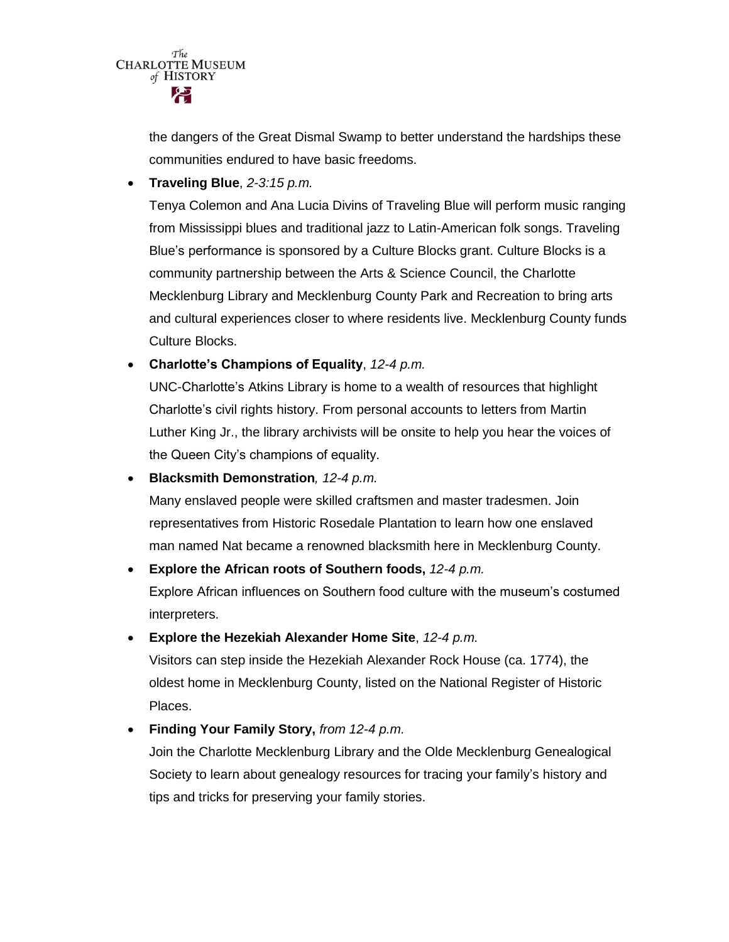

the dangers of the Great Dismal Swamp to better understand the hardships these communities endured to have basic freedoms.

**Traveling Blue**, *2-3:15 p.m.*

Tenya Colemon and Ana Lucia Divins of Traveling Blue will perform music ranging from Mississippi blues and traditional jazz to Latin-American folk songs. Traveling Blue's performance is sponsored by a Culture Blocks grant. Culture Blocks is a community partnership between the Arts & Science Council, the Charlotte Mecklenburg Library and Mecklenburg County Park and Recreation to bring arts and cultural experiences closer to where residents live. Mecklenburg County funds Culture Blocks.

**Charlotte's Champions of Equality**, *12-4 p.m.*

UNC-Charlotte's Atkins Library is home to a wealth of resources that highlight Charlotte's civil rights history. From personal accounts to letters from Martin Luther King Jr., the library archivists will be onsite to help you hear the voices of the Queen City's champions of equality.

**Blacksmith Demonstration***, 12-4 p.m.*

Many enslaved people were skilled craftsmen and master tradesmen. Join representatives from Historic Rosedale Plantation to learn how one enslaved man named Nat became a renowned blacksmith here in Mecklenburg County.

### **Explore the African roots of Southern foods,** *12-4 p.m.*

Explore African influences on Southern food culture with the museum's costumed interpreters.

**Explore the Hezekiah Alexander Home Site**, *12-4 p.m.*

Visitors can step inside the Hezekiah Alexander Rock House (ca. 1774), the oldest home in Mecklenburg County, listed on the National Register of Historic Places.

**Finding Your Family Story,** *from 12-4 p.m.*

Join the Charlotte Mecklenburg Library and the Olde Mecklenburg Genealogical Society to learn about genealogy resources for tracing your family's history and tips and tricks for preserving your family stories.